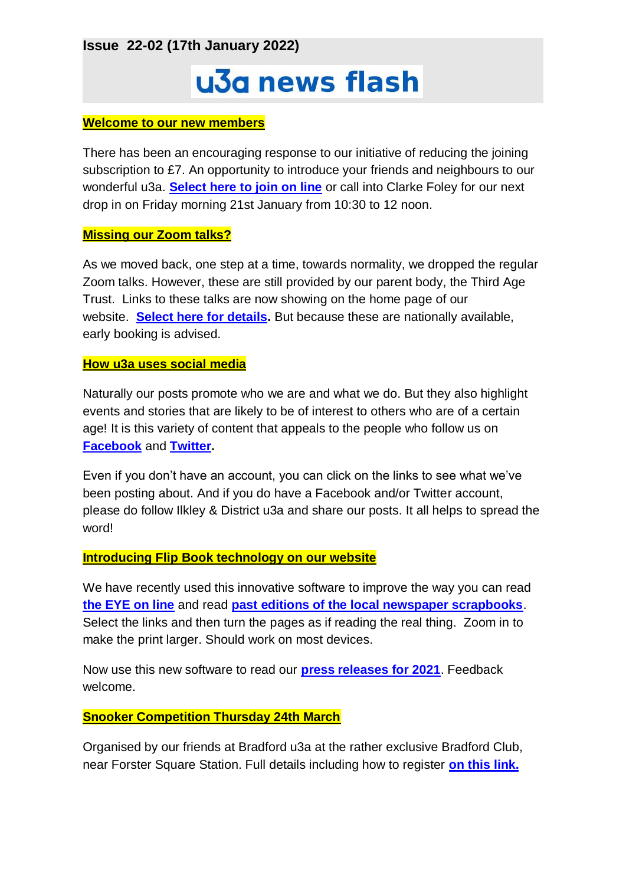**Issue 22-02 (17th January 2022)**

# u3a news flash

#### **Welcome to our new members**

There has been an encouraging response to our initiative of reducing the joining subscription to £7. An opportunity to introduce your friends and neighbours to our wonderful u3a. **[Select here to join on line](https://ilkleyu3a.org/Join-Us#JOINUSANDPAY)** or call into Clarke Foley for our next drop in on Friday morning 21st January from 10:30 to 12 noon.

#### **Missing our Zoom talks?**

As we moved back, one step at a time, towards normality, we dropped the regular Zoom talks. However, these are still provided by our parent body, the Third Age Trust. Links to these talks are now showing on the home page of our website. **[Select here for details.](https://ilkleyu3a.org/Forthcoming-Talks)** But because these are nationally available, early booking is advised.

#### **How u3a uses social media**

Naturally our posts promote who we are and what we do. But they also highlight events and stories that are likely to be of interest to others who are of a certain age! It is this variety of content that appeals to the people who follow us on **[Facebook](https://www.facebook.com/IlkleyU3A)** and **[Twitter.](https://twitter.com/ilkleyu3a?lang=en)**

Even if you don't have an account, you can click on the links to see what we've been posting about. And if you do have a Facebook and/or Twitter account, please do follow Ilkley & District u3a and share our posts. It all helps to spread the word!

#### **Introducing Flip Book technology on our website**

We have recently used this innovative software to improve the way you can read **[the EYE on line](https://ilkleyu3a.org/Resources/Documents/PDF-Flip/index.html)** and read **[past editions of the local newspaper scrapbooks](https://ilkleyu3a.org/Resources/Documents/PDF-Flip/Bookshelf-Scrapbooks.html)**. Select the links and then turn the pages as if reading the real thing. Zoom in to make the print larger. Should work on most devices.

Now use this new software to read our **[press releases for 2021](https://ilkleyu3a.org/Resources/Documents/PDF-Flip/index-2021-News.html)**. Feedback welcome.

#### **Snooker Competition Thursday 24th March**

Organised by our friends at Bradford u3a at the rather exclusive Bradford Club, near Forster Square Station. Full details including how to register **[on this link.](https://ilkleyu3a.org/event-4604246)**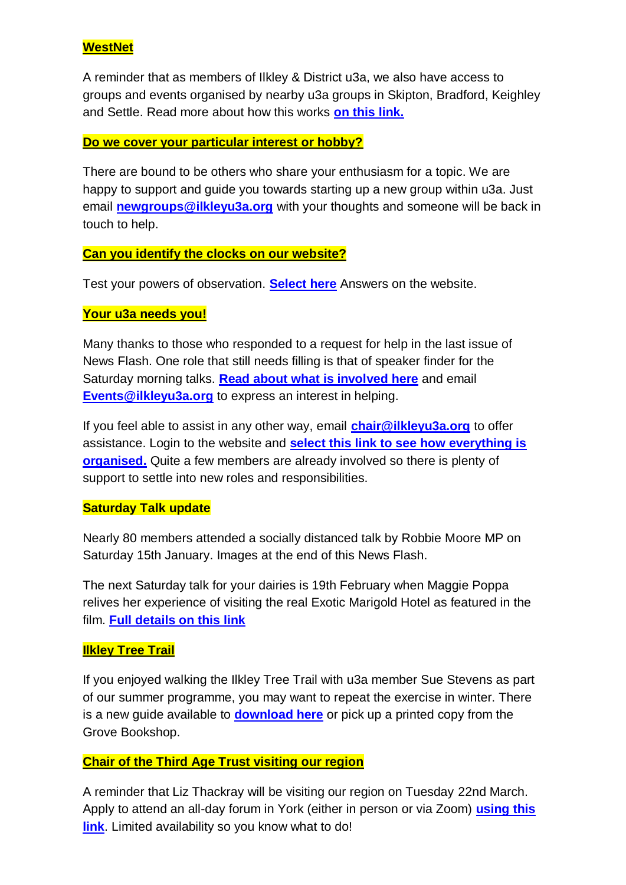# **WestNet**

A reminder that as members of Ilkley & District u3a, we also have access to groups and events organised by nearby u3a groups in Skipton, Bradford, Keighley and Settle. Read more about how this works **[on this link.](https://ilkleyu3a.org/resources/Documents/MCoT/WestNet/WestNet_Open_Door_Arrangements_Rev_Dec_2018.pdf)**

### **Do we cover your particular interest or hobby?**

There are bound to be others who share your enthusiasm for a topic. We are happy to support and guide you towards starting up a new group within u3a. Just email **[newgroups@ilkleyu3a.org](mailto:newgroups@ilkleyu3a.org)** with your thoughts and someone will be back in touch to help.

#### **Can you identify the clocks on our website?**

Test your powers of observation. **[Select here](http://ilkleyu3a.org/#HQUIZ)** Answers on the website.

#### **Your u3a needs you!**

Many thanks to those who responded to a request for help in the last issue of News Flash. One role that still needs filling is that of speaker finder for the Saturday morning talks. **[Read about what is involved here](https://ilkleyu3a.org/resources/Saturday%20Talks.pdf)** and email **[Events@ilkleyu3a.org](mailto:Events@ilkleyu3a.org)** to express an interest in helping.

If you feel able to assist in any other way, email **[chair@ilkleyu3a.org](mailto:chair@ilkleyu3a.org)** to offer assistance. Login to the website and **[select this link to see how everything is](https://ilkleyu3a.org/U3A-Action-Teams)  [organised.](https://ilkleyu3a.org/U3A-Action-Teams)** Quite a few members are already involved so there is plenty of support to settle into new roles and responsibilities.

# **Saturday Talk update**

Nearly 80 members attended a socially distanced talk by Robbie Moore MP on Saturday 15th January. Images at the end of this News Flash.

The next Saturday talk for your dairies is 19th February when Maggie Poppa relives her experience of visiting the real Exotic Marigold Hotel as featured in the film. **[Full details on this link](https://ilkleyu3a.org/event-4649246)**

# **Ilkley Tree Trail**

If you enjoyed walking the Ilkley Tree Trail with u3a member Sue Stevens as part of our summer programme, you may want to repeat the exercise in winter. There is a new guide available to **[download here](https://ilkleytrees.org.uk/treetrails)** or pick up a printed copy from the Grove Bookshop.

# **Chair of the Third Age Trust visiting our region**

A reminder that Liz Thackray will be visiting our region on Tuesday 22nd March. Apply to attend an all-day forum in York (either in person or via Zoom) **[using this](https://yahru3a.co.uk/event-2022-yorkshire-forum-11th-jan)  [link](https://yahru3a.co.uk/event-2022-yorkshire-forum-11th-jan)**. Limited availability so you know what to do!